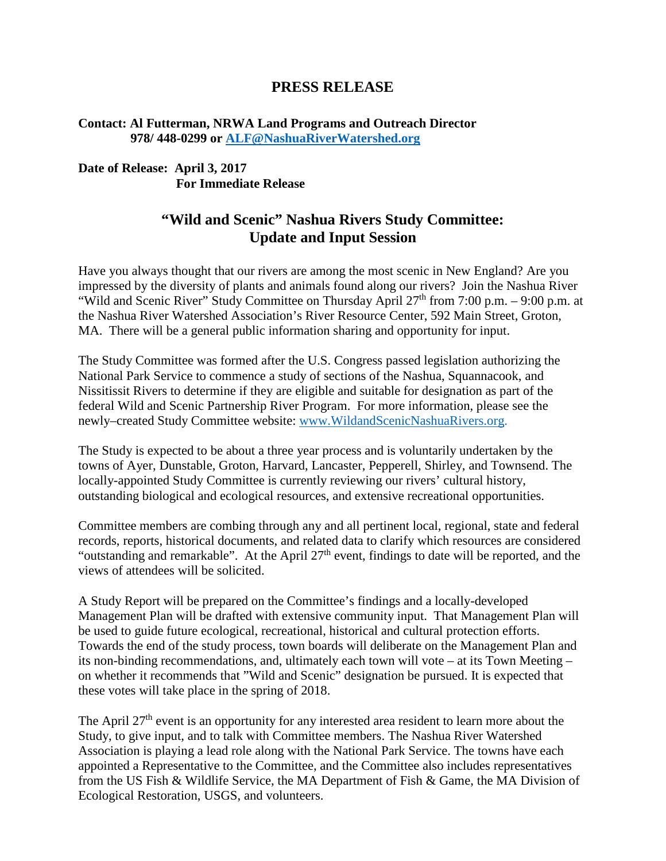## **PRESS RELEASE**

## **Contact: Al Futterman, NRWA Land Programs and Outreach Director 978/ 448-0299 or [ALF@NashuaRiverWatershed.org](mailto:ALF@NashuaRiverWatershed.org)**

## **Date of Release: April 3, 2017 For Immediate Release**

## **"Wild and Scenic" Nashua Rivers Study Committee: Update and Input Session**

Have you always thought that our rivers are among the most scenic in New England? Are you impressed by the diversity of plants and animals found along our rivers? Join the Nashua River "Wild and Scenic River" Study Committee on Thursday April  $27<sup>th</sup>$  from 7:00 p.m. – 9:00 p.m. at the Nashua River Watershed Association's River Resource Center, 592 Main Street, Groton, MA. There will be a general public information sharing and opportunity for input.

The Study Committee was formed after the U.S. Congress passed legislation authorizing the National Park Service to commence a study of sections of the Nashua, Squannacook, and Nissitissit Rivers to determine if they are eligible and suitable for designation as part of the federal Wild and Scenic Partnership River Program. For more information, please see the newly–created Study Committee website: [www.WildandScenicNashuaRivers.org.](http://www.wildandscenicnashuarivers.org/)

The Study is expected to be about a three year process and is voluntarily undertaken by the towns of Ayer, Dunstable, Groton, Harvard, Lancaster, Pepperell, Shirley, and Townsend. The locally-appointed Study Committee is currently reviewing our rivers' cultural history, outstanding biological and ecological resources, and extensive recreational opportunities.

Committee members are combing through any and all pertinent local, regional, state and federal records, reports, historical documents, and related data to clarify which resources are considered "outstanding and remarkable". At the April 27<sup>th</sup> event, findings to date will be reported, and the views of attendees will be solicited.

A Study Report will be prepared on the Committee's findings and a locally-developed Management Plan will be drafted with extensive community input. That Management Plan will be used to guide future ecological, recreational, historical and cultural protection efforts. Towards the end of the study process, town boards will deliberate on the Management Plan and its non-binding recommendations, and, ultimately each town will vote – at its Town Meeting – on whether it recommends that "Wild and Scenic" designation be pursued. It is expected that these votes will take place in the spring of 2018.

The April 27<sup>th</sup> event is an opportunity for any interested area resident to learn more about the Study, to give input, and to talk with Committee members. The Nashua River Watershed Association is playing a lead role along with the National Park Service. The towns have each appointed a Representative to the Committee, and the Committee also includes representatives from the US Fish & Wildlife Service, the MA Department of Fish & Game, the MA Division of Ecological Restoration, USGS, and volunteers.